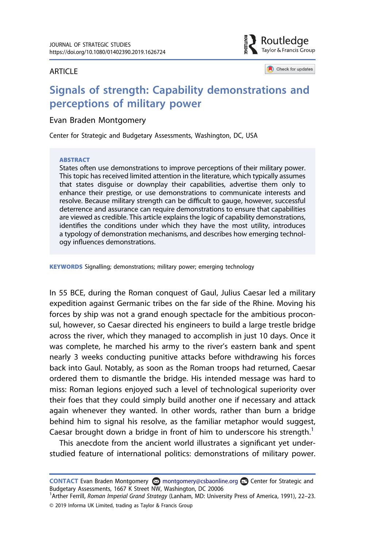## **ARTICLE**



Check for updates

# Signals of strength: Capability demonstrations and perceptions of military power

## Evan Braden Montgomery

Center for Strategic and Budgetary Assessments, Washington, DC, USA

#### ABSTRACT

States often use demonstrations to improve perceptions of their military power. This topic has received limited attention in the literature, which typically assumes that states disguise or downplay their capabilities, advertise them only to enhance their prestige, or use demonstrations to communicate interests and resolve. Because military strength can be difficult to gauge, however, successful deterrence and assurance can require demonstrations to ensure that capabilities are viewed as credible. This article explains the logic of capability demonstrations, identifies the conditions under which they have the most utility, introduces a typology of demonstration mechanisms, and describes how emerging technology influences demonstrations.

KEYWORDS Signalling; demonstrations; military power; emerging technology

In 55 BCE, during the Roman conquest of Gaul, Julius Caesar led a military expedition against Germanic tribes on the far side of the Rhine. Moving his forces by ship was not a grand enough spectacle for the ambitious proconsul, however, so Caesar directed his engineers to build a large trestle bridge across the river, which they managed to accomplish in just 10 days. Once it was complete, he marched his army to the river's eastern bank and spent nearly 3 weeks conducting punitive attacks before withdrawing his forces back into Gaul. Notably, as soon as the Roman troops had returned, Caesar ordered them to dismantle the bridge. His intended message was hard to miss: Roman legions enjoyed such a level of technological superiority over their foes that they could simply build another one if necessary and attack again whenever they wanted. In other words, rather than burn a bridge behind him to signal his resolve, as the familiar metaphor would suggest, Caesar brought down a bridge in front of him to underscore his strength.<sup>1</sup>

This anecdote from the ancient world illustrates a significant yet understudied feature of international politics: demonstrations of military power.

CONTACT Evan Braden Montgomery **&** montgomery@csbaonline.org **C** Center for Strategic and Budgetary Assessments, 1667 K Street NW, Washington, DC 20006

<sup>1</sup> Arther Ferrill, *Roman Imperial Grand Strategy* (Lanham, MD: University Press of America, 1991), 22–23. © 2019 Informa UK Limited, trading as Taylor & Francis Group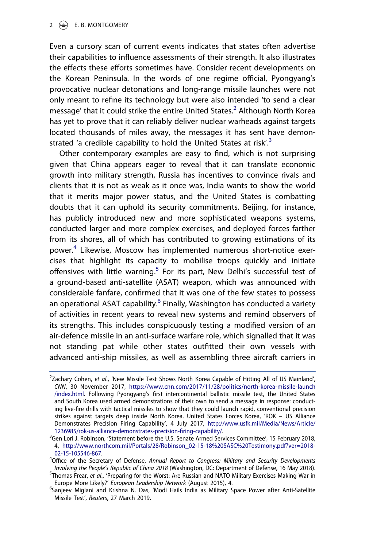#### $2 \left( \bigoplus \right)$  E. B. MONTGOMERY

Even a cursory scan of current events indicates that states often advertise their capabilities to influence assessments of their strength. It also illustrates the effects these efforts sometimes have. Consider recent developments on the Korean Peninsula. In the words of one regime official, Pyongyang's provocative nuclear detonations and long-range missile launches were not only meant to refine its technology but were also intended 'to send a clear message' that it could strike the entire United States.<sup>2</sup> Although North Korea has yet to prove that it can reliably deliver nuclear warheads against targets located thousands of miles away, the messages it has sent have demonstrated 'a credible capability to hold the United States at risk'.<sup>3</sup>

Other contemporary examples are easy to find, which is not surprising given that China appears eager to reveal that it can translate economic growth into military strength, Russia has incentives to convince rivals and clients that it is not as weak as it once was, India wants to show the world that it merits major power status, and the United States is combatting doubts that it can uphold its security commitments. Beijing, for instance, has publicly introduced new and more sophisticated weapons systems, conducted larger and more complex exercises, and deployed forces farther from its shores, all of which has contributed to growing estimations of its power.<sup>4</sup> Likewise, Moscow has implemented numerous short-notice exercises that highlight its capacity to mobilise troops quickly and initiate offensives with little warning.<sup>5</sup> For its part, New Delhi's successful test of a ground-based anti-satellite (ASAT) weapon, which was announced with considerable fanfare, confirmed that it was one of the few states to possess an operational ASAT capability.<sup>6</sup> Finally, Washington has conducted a variety of activities in recent years to reveal new systems and remind observers of its strengths. This includes conspicuously testing a modified version of an air-defence missile in an anti-surface warfare role, which signalled that it was not standing pat while other states outfitted their own vessels with advanced anti-ship missiles, as well as assembling three aircraft carriers in

<sup>2</sup> Zachary Cohen, *et al*., 'New Missile Test Shows North Korea Capable of Hitting All of US Mainland', *CNN*, 30 November 2017, https://www.cnn.com/2017/11/28/politics/north-korea-missile-launch /index.html. Following Pyongyang's first intercontinental ballistic missile test, the United States and South Korea used armed demonstrations of their own to send a message in response: conducting live-fire drills with tactical missiles to show that they could launch rapid, conventional precision strikes against targets deep inside North Korea. United States Forces Korea, 'ROK – US Alliance Demonstrates Precision Firing Capability', 4 July 2017, http://www.usfk.mil/Media/News/Article/ 1236985/rok-us-alliance-demonstrates-precision-firing-capability/.

<sup>&</sup>lt;sup>3</sup>Gen Lori J. Robinson, 'Statement before the U.S. Senate Armed Services Committee', 15 February 2018, 4, http://www.northcom.mil/Portals/28/Robinson\_02-15-18%20SASC%20Testimony.pdf?ver=2018- 02-15-105546-867.

<sup>4</sup> Office of the Secretary of Defense, *Annual Report to Congress: Military and Security Developments Involving the People*'*s Republic of China 2018* (Washington, DC: Department of Defense, 16 May 2018). 5 Thomas Frear, *et al*., 'Preparing for the Worst: Are Russian and NATO Military Exercises Making War in Europe More Likely?' *European Leadership Network* (August 2015), 4.

<sup>&</sup>lt;sup>6</sup>Sanjeev Miglani and Krishna N. Das, 'Modi Hails India as Military Space Power after Anti-Satellite Missile Test', *Reuters*, 27 March 2019.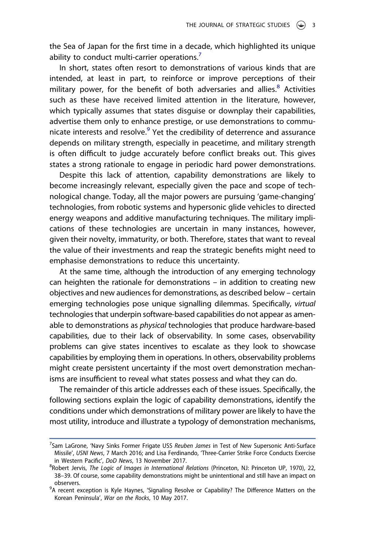the Sea of Japan for the first time in a decade, which highlighted its unique ability to conduct multi-carrier operations. $7$ 

In short, states often resort to demonstrations of various kinds that are intended, at least in part, to reinforce or improve perceptions of their military power, for the benefit of both adversaries and allies.<sup>8</sup> Activities such as these have received limited attention in the literature, however, which typically assumes that states disguise or downplay their capabilities, advertise them only to enhance prestige, or use demonstrations to communicate interests and resolve.<sup>9</sup> Yet the credibility of deterrence and assurance depends on military strength, especially in peacetime, and military strength is often difficult to judge accurately before conflict breaks out. This gives states a strong rationale to engage in periodic hard power demonstrations.

Despite this lack of attention, capability demonstrations are likely to become increasingly relevant, especially given the pace and scope of technological change. Today, all the major powers are pursuing 'game-changing' technologies, from robotic systems and hypersonic glide vehicles to directed energy weapons and additive manufacturing techniques. The military implications of these technologies are uncertain in many instances, however, given their novelty, immaturity, or both. Therefore, states that want to reveal the value of their investments and reap the strategic benefits might need to emphasise demonstrations to reduce this uncertainty.

At the same time, although the introduction of any emerging technology can heighten the rationale for demonstrations – in addition to creating new objectives and new audiences for demonstrations, as described below – certain emerging technologies pose unique signalling dilemmas. Specifically, *virtual* technologies that underpin software-based capabilities do not appear as amenable to demonstrations as *physical* technologies that produce hardware-based capabilities, due to their lack of observability. In some cases, observability problems can give states incentives to escalate as they look to showcase capabilities by employing them in operations. In others, observability problems might create persistent uncertainty if the most overt demonstration mechanisms are insufficient to reveal what states possess and what they can do.

The remainder of this article addresses each of these issues. Specifically, the following sections explain the logic of capability demonstrations, identify the conditions under which demonstrations of military power are likely to have the most utility, introduce and illustrate a typology of demonstration mechanisms,

<sup>7</sup> Sam LaGrone, 'Navy Sinks Former Frigate USS *Reuben James* in Test of New Supersonic Anti-Surface Missile', *USNI News*, 7 March 2016; and Lisa Ferdinando, 'Three-Carrier Strike Force Conducts Exercise in Western Pacific', *DoD News*, 13 November 2017.

<sup>8</sup> Robert Jervis, *The Logic of Images in International Relations* (Princeton, NJ: Princeton UP, 1970), 22, 38–39. Of course, some capability demonstrations might be unintentional and still have an impact on observers.

 $9$ A recent exception is Kyle Haynes, 'Signaling Resolve or Capability? The Difference Matters on the Korean Peninsula', *War on the Rocks*, 10 May 2017.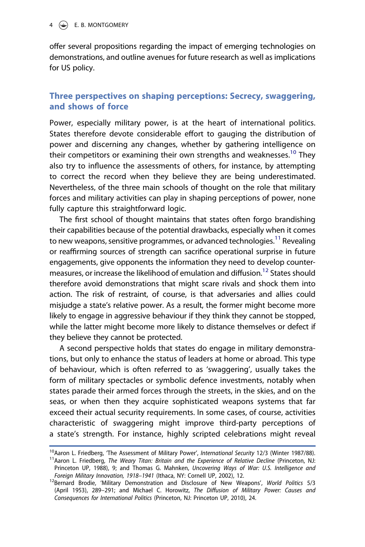offer several propositions regarding the impact of emerging technologies on demonstrations, and outline avenues for future research as well as implications for US policy.

# Three perspectives on shaping perceptions: Secrecy, swaggering, and shows of force

Power, especially military power, is at the heart of international politics. States therefore devote considerable effort to gauging the distribution of power and discerning any changes, whether by gathering intelligence on their competitors or examining their own strengths and weaknesses.<sup>10</sup> They also try to influence the assessments of others, for instance, by attempting to correct the record when they believe they are being underestimated. Nevertheless, of the three main schools of thought on the role that military forces and military activities can play in shaping perceptions of power, none fully capture this straightforward logic.

The first school of thought maintains that states often forgo brandishing their capabilities because of the potential drawbacks, especially when it comes to new weapons, sensitive programmes, or advanced technologies.<sup>11</sup> Revealing or reaffirming sources of strength can sacrifice operational surprise in future engagements, give opponents the information they need to develop countermeasures, or increase the likelihood of emulation and diffusion.<sup>12</sup> States should therefore avoid demonstrations that might scare rivals and shock them into action. The risk of restraint, of course, is that adversaries and allies could misjudge a state's relative power. As a result, the former might become more likely to engage in aggressive behaviour if they think they cannot be stopped, while the latter might become more likely to distance themselves or defect if they believe they cannot be protected.

A second perspective holds that states do engage in military demonstrations, but only to enhance the status of leaders at home or abroad. This type of behaviour, which is often referred to as 'swaggering', usually takes the form of military spectacles or symbolic defence investments, notably when states parade their armed forces through the streets, in the skies, and on the seas, or when then they acquire sophisticated weapons systems that far exceed their actual security requirements. In some cases, of course, activities characteristic of swaggering might improve third-party perceptions of a state's strength. For instance, highly scripted celebrations might reveal

<sup>10</sup>Aaron L. Friedberg, 'The Assessment of Military Power', *International Security* 12/3 (Winter 1987/88). <sup>11</sup>Aaron L. Friedberg, *The Weary Titan: Britain and the Experience of Relative Decline* (Princeton, NJ: Princeton UP, 1988), 9; and Thomas G. Mahnken, *Uncovering Ways of War: U.S. Intelligence and Foreign Military Innovation, 1918*–*1941* (Ithaca, NY: Cornell UP, 2002), 12.

<sup>12</sup>Bernard Brodie, 'Military Demonstration and Disclosure of New Weapons', *World Politics* 5/3 (April 1953), 289–291; and Michael C. Horowitz, *The Di*ff*usion of Military Power: Causes and Consequences for International Politics* (Princeton, NJ: Princeton UP, 2010), 24.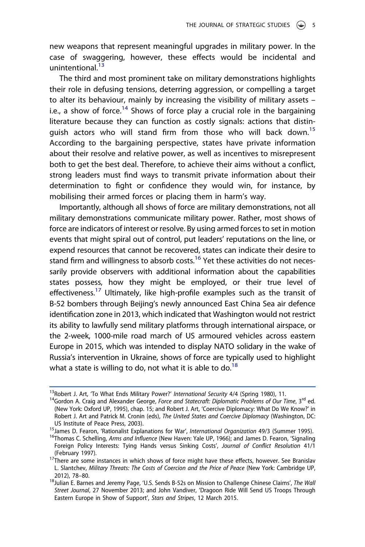new weapons that represent meaningful upgrades in military power. In the case of swaggering, however, these effects would be incidental and unintentional.<sup>13</sup>

The third and most prominent take on military demonstrations highlights their role in defusing tensions, deterring aggression, or compelling a target to alter its behaviour, mainly by increasing the visibility of military assets – i.e., a show of force.<sup>14</sup> Shows of force play a crucial role in the bargaining literature because they can function as costly signals: actions that distinguish actors who will stand firm from those who will back down.<sup>15</sup> According to the bargaining perspective, states have private information about their resolve and relative power, as well as incentives to misrepresent both to get the best deal. Therefore, to achieve their aims without a conflict, strong leaders must find ways to transmit private information about their determination to fight or confidence they would win, for instance, by mobilising their armed forces or placing them in harm's way.

Importantly, although all shows of force are military demonstrations, not all military demonstrations communicate military power. Rather, most shows of force are indicators of interest or resolve. By using armed forces to set in motion events that might spiral out of control, put leaders' reputations on the line, or expend resources that cannot be recovered, states can indicate their desire to stand firm and willingness to absorb costs.<sup>16</sup> Yet these activities do not necessarily provide observers with additional information about the capabilities states possess, how they might be employed, or their true level of effectiveness.<sup>17</sup> Ultimately, like high-profile examples such as the transit of B-52 bombers through Beijing's newly announced East China Sea air defence identification zone in 2013, which indicated that Washington would not restrict its ability to lawfully send military platforms through international airspace, or the 2-week, 1000-mile road march of US armoured vehicles across eastern Europe in 2015, which was intended to display NATO solidary in the wake of Russia's intervention in Ukraine, shows of force are typically used to highlight what a state is willing to do, not what it is able to do.<sup>18</sup>

<sup>13</sup>Robert J. Art, 'To What Ends Military Power?' *International Security* 4/4 (Spring 1980), 11.

<sup>&</sup>lt;sup>14</sup>Gordon A. Craig and Alexander George, *Force and Statecraft: Diplomatic Problems of Our Time*, 3<sup>rd</sup> ed. (New York: Oxford UP, 1995), chap. 15; and Robert J. Art, 'Coercive Diplomacy: What Do We Know?' in Robert J. Art and Patrick M. Cronin (eds), *The United States and Coercive Diplomacy* (Washington, DC: US Institute of Peace Press, 2003).

<sup>15</sup>James D. Fearon, 'Rationalist Explanations for War', *International Organization* 49/3 (Summer 1995). <sup>16</sup>Thomas C. Schelling, *Arms and In*fl*uence* (New Haven: Yale UP, 1966); and James D. Fearon, 'Signaling

Foreign Policy Interests: Tying Hands versus Sinking Costs', *Journal of Con*fl*ict Resolution* 41/1 (February 1997).

 $17$ There are some instances in which shows of force might have these effects, however. See Branislav L. Slantchev, *Military Threats: The Costs of Coercion and the Price of Peace* (New York: Cambridge UP, 2012), 78–80.

<sup>18</sup>Julian E. Barnes and Jeremy Page, 'U.S. Sends B-52s on Mission to Challenge Chinese Claims', *The Wall Street Journal*, 27 November 2013; and John Vandiver, 'Dragoon Ride Will Send US Troops Through Eastern Europe in Show of Support', *Stars and Stripes*, 12 March 2015.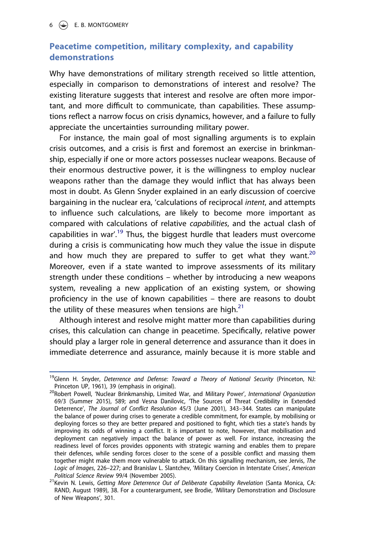# Peacetime competition, military complexity, and capability demonstrations

Why have demonstrations of military strength received so little attention, especially in comparison to demonstrations of interest and resolve? The existing literature suggests that interest and resolve are often more important, and more difficult to communicate, than capabilities. These assumptions reflect a narrow focus on crisis dynamics, however, and a failure to fully appreciate the uncertainties surrounding military power.

For instance, the main goal of most signalling arguments is to explain crisis outcomes, and a crisis is first and foremost an exercise in brinkmanship, especially if one or more actors possesses nuclear weapons. Because of their enormous destructive power, it is the willingness to employ nuclear weapons rather than the damage they would inflict that has always been most in doubt. As Glenn Snyder explained in an early discussion of coercive bargaining in the nuclear era, 'calculations of reciprocal *intent*, and attempts to influence such calculations, are likely to become more important as compared with calculations of relative *capabilities*, and the actual clash of capabilities in war'.<sup>19</sup> Thus, the biggest hurdle that leaders must overcome during a crisis is communicating how much they value the issue in dispute and how much they are prepared to suffer to get what they want.<sup>20</sup> Moreover, even if a state wanted to improve assessments of its military strength under these conditions – whether by introducing a new weapons system, revealing a new application of an existing system, or showing proficiency in the use of known capabilities – there are reasons to doubt the utility of these measures when tensions are high. $21$ 

Although interest and resolve might matter more than capabilities during crises, this calculation can change in peacetime. Specifically, relative power should play a larger role in general deterrence and assurance than it does in immediate deterrence and assurance, mainly because it is more stable and

<sup>19</sup>Glenn H. Snyder, *Deterrence and Defense: Toward a Theory of National Security* (Princeton, NJ: Princeton UP, 1961), 39 (emphasis in original).

<sup>20</sup>Robert Powell, 'Nuclear Brinkmanship, Limited War, and Military Power', *International Organization* 69/3 (Summer 2015), 589; and Vesna Danilovic, 'The Sources of Threat Credibility in Extended Deterrence', *The Journal of Con*fl*ict Resolution* 45/3 (June 2001), 343–344. States can manipulate the balance of power during crises to generate a credible commitment, for example, by mobilising or deploying forces so they are better prepared and positioned to fight, which ties a state's hands by improving its odds of winning a conflict. It is important to note, however, that mobilisation and deployment can negatively impact the balance of power as well. For instance, increasing the readiness level of forces provides opponents with strategic warning and enables them to prepare their defences, while sending forces closer to the scene of a possible conflict and massing them together might make them more vulnerable to attack. On this signalling mechanism, see Jervis, *The Logic of Images*, 226–227; and Branislav L. Slantchev, 'Military Coercion in Interstate Crises', *American Political Science Review* 99/4 (November 2005).

<sup>21</sup>Kevin N. Lewis, *Getting More Deterrence Out of Deliberate Capability Revelation* (Santa Monica, CA: RAND, August 1989), 38. For a counterargument, see Brodie, 'Military Demonstration and Disclosure of New Weapons', 301.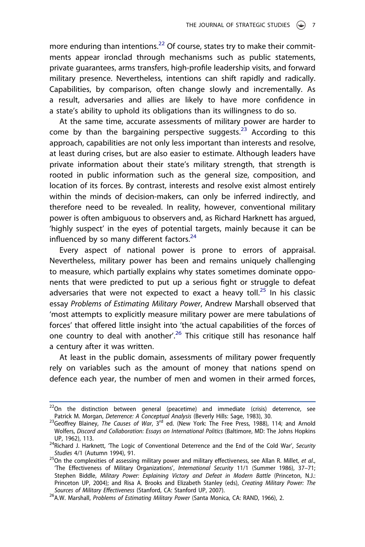more enduring than intentions.<sup>22</sup> Of course, states try to make their commitments appear ironclad through mechanisms such as public statements, private guarantees, arms transfers, high-profile leadership visits, and forward military presence. Nevertheless, intentions can shift rapidly and radically. Capabilities, by comparison, often change slowly and incrementally. As a result, adversaries and allies are likely to have more confidence in a state's ability to uphold its obligations than its willingness to do so.

At the same time, accurate assessments of military power are harder to come by than the bargaining perspective suggests.<sup>23</sup> According to this approach, capabilities are not only less important than interests and resolve, at least during crises, but are also easier to estimate. Although leaders have private information about their state's military strength, that strength is rooted in public information such as the general size, composition, and location of its forces. By contrast, interests and resolve exist almost entirely within the minds of decision-makers, can only be inferred indirectly, and therefore need to be revealed. In reality, however, conventional military power is often ambiguous to observers and, as Richard Harknett has argued, 'highly suspect' in the eyes of potential targets, mainly because it can be influenced by so many different factors. $^{24}$ 

Every aspect of national power is prone to errors of appraisal. Nevertheless, military power has been and remains uniquely challenging to measure, which partially explains why states sometimes dominate opponents that were predicted to put up a serious fight or struggle to defeat adversaries that were not expected to exact a heavy toll.<sup>25</sup> In his classic essay *Problems of Estimating Military Power*, Andrew Marshall observed that 'most attempts to explicitly measure military power are mere tabulations of forces' that offered little insight into 'the actual capabilities of the forces of one country to deal with another'.<sup>26</sup> This critique still has resonance half a century after it was written.

At least in the public domain, assessments of military power frequently rely on variables such as the amount of money that nations spend on defence each year, the number of men and women in their armed forces,

 $^{22}$ On the distinction between general (peacetime) and immediate (crisis) deterrence, see Patrick M. Morgan, *Deterrence: A Conceptual Analysis* (Beverly Hills: Sage, 1983), 30.

<sup>&</sup>lt;sup>23</sup>Geoffrey Blainey, *The Causes of War*, <sup>3rd</sup> ed. (New York: The Free Press, 1988), 114; and Arnold Wolfers, *Discord and Collaboration: Essays on International Politics* (Baltimore, MD: The Johns Hopkins UP, 1962), 113.

<sup>24</sup>Richard J. Harknett, 'The Logic of Conventional Deterrence and the End of the Cold War', *Security Studies* 4/1 (Autumn 1994), 91.

<sup>25</sup>On the complexities of assessing military power and military effectiveness, see Allan R. Millet, *et al*., 'The Effectiveness of Military Organizations', *International Security* 11/1 (Summer 1986), 37–71; Stephen Biddle, *Military Power: Explaining Victory and Defeat in Modern Battle* (Princeton, N.J.: Princeton UP, 2004); and Risa A. Brooks and Elizabeth Stanley (eds), *Creating Military Power: The Sources of Military E*ff*ectiveness* (Stanford, CA: Stanford UP, 2007).

<sup>26</sup>A.W. Marshall, *Problems of Estimating Military Power* (Santa Monica, CA: RAND, 1966), 2.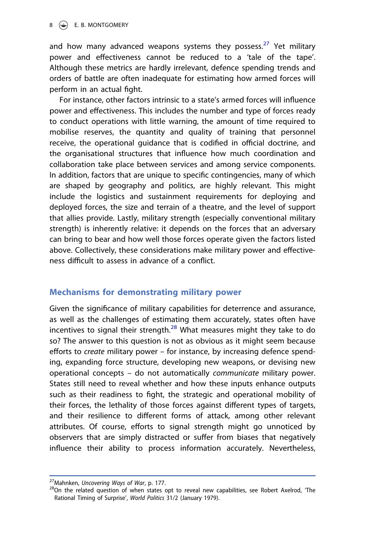## $8 \quad \circledast$  E. B. MONTGOMERY

and how many advanced weapons systems they possess.<sup>27</sup> Yet military power and effectiveness cannot be reduced to a 'tale of the tape'. Although these metrics are hardly irrelevant, defence spending trends and orders of battle are often inadequate for estimating how armed forces will perform in an actual fight.

For instance, other factors intrinsic to a state's armed forces will influence power and effectiveness. This includes the number and type of forces ready to conduct operations with little warning, the amount of time required to mobilise reserves, the quantity and quality of training that personnel receive, the operational guidance that is codified in official doctrine, and the organisational structures that influence how much coordination and collaboration take place between services and among service components. In addition, factors that are unique to specific contingencies, many of which are shaped by geography and politics, are highly relevant. This might include the logistics and sustainment requirements for deploying and deployed forces, the size and terrain of a theatre, and the level of support that allies provide. Lastly, military strength (especially conventional military strength) is inherently relative: it depends on the forces that an adversary can bring to bear and how well those forces operate given the factors listed above. Collectively, these considerations make military power and effectiveness difficult to assess in advance of a conflict.

# Mechanisms for demonstrating military power

Given the significance of military capabilities for deterrence and assurance, as well as the challenges of estimating them accurately, states often have incentives to signal their strength. $^{28}$  What measures might they take to do so? The answer to this question is not as obvious as it might seem because efforts to *create* military power – for instance, by increasing defence spending, expanding force structure, developing new weapons, or devising new operational concepts – do not automatically *communicate* military power. States still need to reveal whether and how these inputs enhance outputs such as their readiness to fight, the strategic and operational mobility of their forces, the lethality of those forces against different types of targets, and their resilience to different forms of attack, among other relevant attributes. Of course, efforts to signal strength might go unnoticed by observers that are simply distracted or suffer from biases that negatively influence their ability to process information accurately. Nevertheless,

<sup>27</sup>Mahnken, *Uncovering Ways of War*, p. 177.

<sup>&</sup>lt;sup>28</sup>On the related question of when states opt to reveal new capabilities, see Robert Axelrod, 'The Rational Timing of Surprise', *World Politics* 31/2 (January 1979).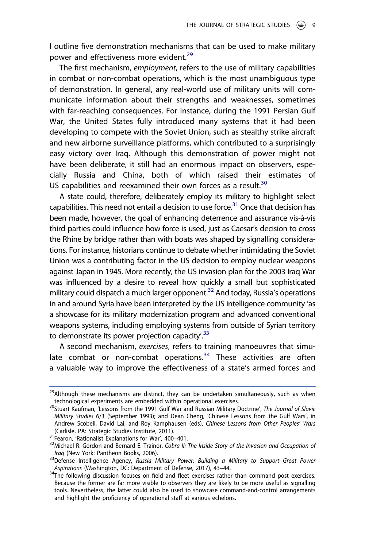I outline five demonstration mechanisms that can be used to make military power and effectiveness more evident.<sup>29</sup>

The first mechanism, *employment*, refers to the use of military capabilities in combat or non-combat operations, which is the most unambiguous type of demonstration. In general, any real-world use of military units will communicate information about their strengths and weaknesses, sometimes with far-reaching consequences. For instance, during the 1991 Persian Gulf War, the United States fully introduced many systems that it had been developing to compete with the Soviet Union, such as stealthy strike aircraft and new airborne surveillance platforms, which contributed to a surprisingly easy victory over Iraq. Although this demonstration of power might not have been deliberate, it still had an enormous impact on observers, especially Russia and China, both of which raised their estimates of US capabilities and reexamined their own forces as a result.<sup>30</sup>

A state could, therefore, deliberately employ its military to highlight select capabilities. This need not entail a decision to use force.<sup>31</sup> Once that decision has been made, however, the goal of enhancing deterrence and assurance vis-à-vis third-parties could influence how force is used, just as Caesar's decision to cross the Rhine by bridge rather than with boats was shaped by signalling considerations. For instance, historians continue to debate whether intimidating the Soviet Union was a contributing factor in the US decision to employ nuclear weapons against Japan in 1945. More recently, the US invasion plan for the 2003 Iraq War was influenced by a desire to reveal how quickly a small but sophisticated military could dispatch a much larger opponent.<sup>32</sup> And today, Russia's operations in and around Syria have been interpreted by the US intelligence community 'as a showcase for its military modernization program and advanced conventional weapons systems, including employing systems from outside of Syrian territory to demonstrate its power projection capacity'.<sup>33</sup>

A second mechanism, *exercises*, refers to training manoeuvres that simulate combat or non-combat operations. $34$  These activities are often a valuable way to improve the effectiveness of a state's armed forces and

 $29$ Although these mechanisms are distinct, they can be undertaken simultaneously, such as when technological experiments are embedded within operational exercises.

<sup>30</sup>Stuart Kaufman, 'Lessons from the 1991 Gulf War and Russian Military Doctrine', *The Journal of Slavic Military Studies* 6/3 (September 1993); and Dean Cheng, 'Chinese Lessons from the Gulf Wars', in Andrew Scobell, David Lai, and Roy Kamphausen (eds), *Chinese Lessons from Other Peoples*' *Wars* (Carlisle, PA: Strategic Studies Institute, 2011).

<sup>&</sup>lt;sup>31</sup> Fearon, 'Rationalist Explanations for War', 400-401.

<sup>32</sup>Michael R. Gordon and Bernard E. Trainor, *Cobra II: The Inside Story of the Invasion and Occupation of Iraq* (New York: Pantheon Books, 2006).

<sup>33</sup>Defense Intelligence Agency, *Russia Military Power: Building a Military to Support Great Power Aspirations* (Washington, DC: Department of Defense, 2017), 43–44.

<sup>&</sup>lt;sup>34</sup>The following discussion focuses on field and fleet exercises rather than command post exercises. Because the former are far more visible to observers they are likely to be more useful as signalling tools. Nevertheless, the latter could also be used to showcase command-and-control arrangements and highlight the proficiency of operational staff at various echelons.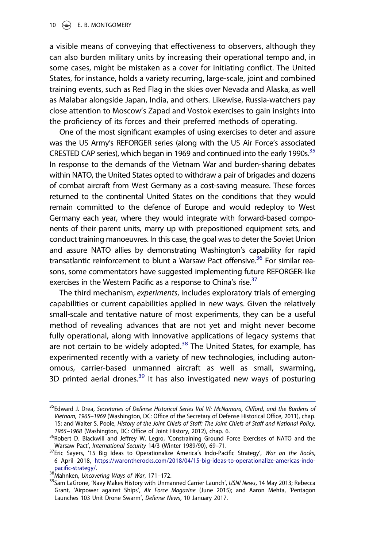a visible means of conveying that effectiveness to observers, although they can also burden military units by increasing their operational tempo and, in some cases, might be mistaken as a cover for initiating conflict. The United States, for instance, holds a variety recurring, large-scale, joint and combined training events, such as Red Flag in the skies over Nevada and Alaska, as well as Malabar alongside Japan, India, and others. Likewise, Russia-watchers pay close attention to Moscow's Zapad and Vostok exercises to gain insights into the proficiency of its forces and their preferred methods of operating.

One of the most significant examples of using exercises to deter and assure was the US Army's REFORGER series (along with the US Air Force's associated CRESTED CAP series), which began in 1969 and continued into the early 1990s.<sup>35</sup> In response to the demands of the Vietnam War and burden-sharing debates within NATO, the United States opted to withdraw a pair of brigades and dozens of combat aircraft from West Germany as a cost-saving measure. These forces returned to the continental United States on the conditions that they would remain committed to the defence of Europe and would redeploy to West Germany each year, where they would integrate with forward-based components of their parent units, marry up with prepositioned equipment sets, and conduct training manoeuvres. In this case, the goal was to deter the Soviet Union and assure NATO allies by demonstrating Washington's capability for rapid transatlantic reinforcement to blunt a Warsaw Pact offensive.<sup>36</sup> For similar reasons, some commentators have suggested implementing future REFORGER-like exercises in the Western Pacific as a response to China's rise.<sup>37</sup>

The third mechanism, *experiments*, includes exploratory trials of emerging capabilities or current capabilities applied in new ways. Given the relatively small-scale and tentative nature of most experiments, they can be a useful method of revealing advances that are not yet and might never become fully operational, along with innovative applications of legacy systems that are not certain to be widely adopted.<sup>38</sup> The United States, for example, has experimented recently with a variety of new technologies, including autonomous, carrier-based unmanned aircraft as well as small, swarming, 3D printed aerial drones.<sup>39</sup> It has also investigated new ways of posturing

<sup>35</sup>Edward J. Drea, *Secretaries of Defense Historical Series Vol VI: McNamara, Cli*ff*ord, and the Burdens of Vietnam, 1965*–*1969* (Washington, DC: Office of the Secretary of Defense Historical Office, 2011), chap. 15; and Walter S. Poole, *History of the Joint Chiefs of Sta*ff*: The Joint Chiefs of Sta*ff *and National Policy, 1965*–*1968* (Washington, DC: Office of Joint History, 2012), chap. 6.

<sup>&</sup>lt;sup>36</sup>Robert D. Blackwill and Jeffrey W. Legro, 'Constraining Ground Force Exercises of NATO and the Warsaw Pact', *International Security* 14/3 (Winter 1989/90), 69–71.

<sup>37</sup>Eric Sayers, '15 Big Ideas to Operationalize America's Indo-Pacific Strategy', *War on the Rocks*, 6 April 2018, https://warontherocks.com/2018/04/15-big-ideas-to-operationalize-americas-indopacific-strategy/.

<sup>38</sup>Mahnken, *Uncovering Ways of War*, 171–172.

<sup>39</sup>Sam LaGrone, 'Navy Makes History with Unmanned Carrier Launch', *USNI News*, 14 May 2013; Rebecca Grant, 'Airpower against Ships', *Air Force Magazine* (June 2015); and Aaron Mehta, 'Pentagon Launches 103 Unit Drone Swarm', *Defense News*, 10 January 2017.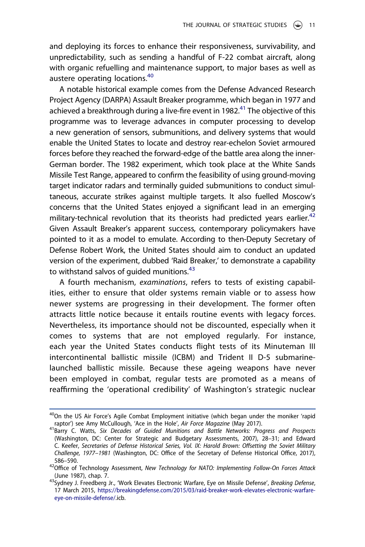and deploying its forces to enhance their responsiveness, survivability, and unpredictability, such as sending a handful of F-22 combat aircraft, along with organic refuelling and maintenance support, to major bases as well as austere operating locations.<sup>40</sup>

A notable historical example comes from the Defense Advanced Research Project Agency (DARPA) Assault Breaker programme, which began in 1977 and achieved a breakthrough during a live-fire event in 1982.<sup>41</sup> The objective of this programme was to leverage advances in computer processing to develop a new generation of sensors, submunitions, and delivery systems that would enable the United States to locate and destroy rear-echelon Soviet armoured forces before they reached the forward-edge of the battle area along the inner-German border. The 1982 experiment, which took place at the White Sands Missile Test Range, appeared to confirm the feasibility of using ground-moving target indicator radars and terminally guided submunitions to conduct simultaneous, accurate strikes against multiple targets. It also fuelled Moscow's concerns that the United States enjoyed a significant lead in an emerging military-technical revolution that its theorists had predicted years earlier.<sup>42</sup> Given Assault Breaker's apparent success, contemporary policymakers have pointed to it as a model to emulate. According to then-Deputy Secretary of Defense Robert Work, the United States should aim to conduct an updated version of the experiment, dubbed 'Raid Breaker,' to demonstrate a capability to withstand salvos of quided munitions.<sup>43</sup>

A fourth mechanism, *examinations*, refers to tests of existing capabilities, either to ensure that older systems remain viable or to assess how newer systems are progressing in their development. The former often attracts little notice because it entails routine events with legacy forces. Nevertheless, its importance should not be discounted, especially when it comes to systems that are not employed regularly. For instance, each year the United States conducts flight tests of its Minuteman III intercontinental ballistic missile (ICBM) and Trident II D-5 submarinelaunched ballistic missile. Because these ageing weapons have never been employed in combat, regular tests are promoted as a means of reaffirming the 'operational credibility' of Washington's strategic nuclear

<sup>&</sup>lt;sup>40</sup>On the US Air Force's Agile Combat Employment initiative (which began under the moniker 'rapid raptor') see Amy McCullough, 'Ace in the Hole', *Air Force Magazine* (May 2017).

<sup>41</sup>Barry C. Watts, *Six Decades of Guided Munitions and Battle Networks: Progress and Prospects* (Washington, DC: Center for Strategic and Budgetary Assessments, 2007), 28–31; and Edward C. Keefer, *Secretaries of Defense Historical Series, Vol. IX: Harold Brown: O*ff*setting the Soviet Military Challenge, 1977*–*1981* (Washington, DC: Office of the Secretary of Defense Historical Office, 2017), 586–590.

<sup>42</sup>Office of Technology Assessment, *New Technology for NATO: Implementing Follow-On Forces Attack* (June 1987), chap. 7.

<sup>43</sup>Sydney J. Freedberg Jr., 'Work Elevates Electronic Warfare, Eye on Missile Defense', *Breaking Defense*, 17 March 2015, https://breakingdefense.com/2015/03/raid-breaker-work-elevates-electronic-warfareeye-on-missile-defense/.icb.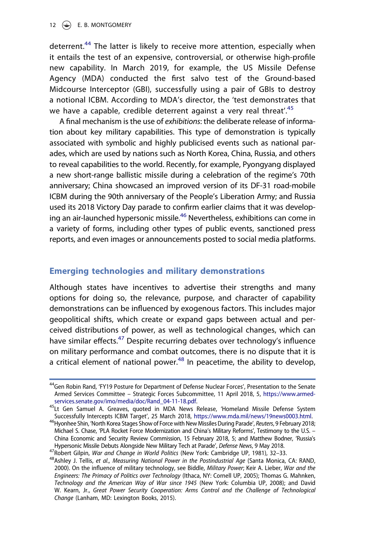deterrent.<sup>44</sup> The latter is likely to receive more attention, especially when it entails the test of an expensive, controversial, or otherwise high-profile new capability. In March 2019, for example, the US Missile Defense Agency (MDA) conducted the first salvo test of the Ground-based Midcourse Interceptor (GBI), successfully using a pair of GBIs to destroy a notional ICBM. According to MDA's director, the 'test demonstrates that we have a capable, credible deterrent against a very real threat'.<sup>45</sup>

A final mechanism is the use of *exhibitions*: the deliberate release of information about key military capabilities. This type of demonstration is typically associated with symbolic and highly publicised events such as national parades, which are used by nations such as North Korea, China, Russia, and others to reveal capabilities to the world. Recently, for example, Pyongyang displayed a new short-range ballistic missile during a celebration of the regime's 70th anniversary; China showcased an improved version of its DF-31 road-mobile ICBM during the 90th anniversary of the People's Liberation Army; and Russia used its 2018 Victory Day parade to confirm earlier claims that it was developing an air-launched hypersonic missile.<sup>46</sup> Nevertheless, exhibitions can come in a variety of forms, including other types of public events, sanctioned press reports, and even images or announcements posted to social media platforms.

# Emerging technologies and military demonstrations

Although states have incentives to advertise their strengths and many options for doing so, the relevance, purpose, and character of capability demonstrations can be influenced by exogenous factors. This includes major geopolitical shifts, which create or expand gaps between actual and perceived distributions of power, as well as technological changes, which can have similar effects.<sup>47</sup> Despite recurring debates over technology's influence on military performance and combat outcomes, there is no dispute that it is a critical element of national power.<sup>48</sup> In peacetime, the ability to develop,

<sup>&</sup>lt;sup>44</sup>Gen Robin Rand, 'FY19 Posture for Department of Defense Nuclear Forces', Presentation to the Senate Armed Services Committee – Strategic Forces Subcommittee, 11 April 2018, 5, https://www.armedservices.senate.gov/imo/media/doc/Rand\_04-11-18.pdf.

<sup>45</sup>Lt Gen Samuel A. Greaves, quoted in MDA News Release, 'Homeland Missile Defense System Successfully Intercepts ICBM Target', 25 March 2018, https://www.mda.mil/news/19news0003.html.

<sup>46</sup>Hyonhee Shin, 'North Korea Stages Show of Force with New Missiles During Parade', *Reuters*, 9 February 2018; Michael S. Chase, 'PLA Rocket Force Modernization and China's Military Reforms', Testimony to the U.S. – China Economic and Security Review Commission, 15 February 2018, 5; and Matthew Bodner, 'Russia's Hypersonic Missile Debuts Alongside New Military Tech at Parade', *Defense News*, 9 May 2018.

<sup>47</sup>Robert Gilpin, *War and Change in World Politics* (New York: Cambridge UP, 1981), 32–33.

<sup>48</sup>Ashley J. Tellis, *et al., Measuring National Power in the Postindustrial Age* (Santa Monica, CA: RAND, 2000). On the influence of military technology, see Biddle, *Military Power*; Keir A. Lieber, *War and the Engineers: The Primacy of Politics over Technology* (Ithaca, NY: Cornell UP, 2005); Thomas G. Mahnken, *Technology and the American Way of War since 1945* (New York: Columbia UP, 2008); and David W. Kearn, Jr., *Great Power Security Cooperation: Arms Control and the Challenge of Technological Change* (Lanham, MD: Lexington Books, 2015).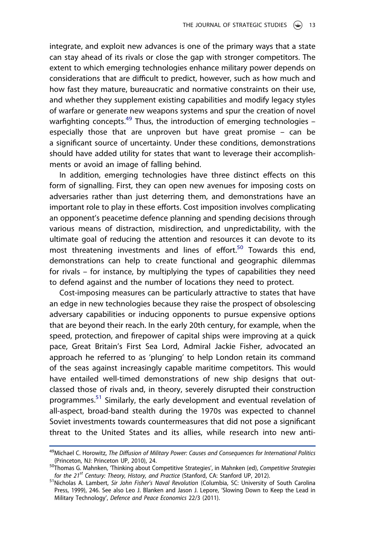integrate, and exploit new advances is one of the primary ways that a state can stay ahead of its rivals or close the gap with stronger competitors. The extent to which emerging technologies enhance military power depends on considerations that are difficult to predict, however, such as how much and how fast they mature, bureaucratic and normative constraints on their use, and whether they supplement existing capabilities and modify legacy styles of warfare or generate new weapons systems and spur the creation of novel warfighting concepts.<sup>49</sup> Thus, the introduction of emerging technologies  $$ especially those that are unproven but have great promise – can be a significant source of uncertainty. Under these conditions, demonstrations should have added utility for states that want to leverage their accomplishments or avoid an image of falling behind.

In addition, emerging technologies have three distinct effects on this form of signalling. First, they can open new avenues for imposing costs on adversaries rather than just deterring them, and demonstrations have an important role to play in these efforts. Cost imposition involves complicating an opponent's peacetime defence planning and spending decisions through various means of distraction, misdirection, and unpredictability, with the ultimate goal of reducing the attention and resources it can devote to its most threatening investments and lines of effort.<sup>50</sup> Towards this end. demonstrations can help to create functional and geographic dilemmas for rivals – for instance, by multiplying the types of capabilities they need to defend against and the number of locations they need to protect.

Cost-imposing measures can be particularly attractive to states that have an edge in new technologies because they raise the prospect of obsolescing adversary capabilities or inducing opponents to pursue expensive options that are beyond their reach. In the early 20th century, for example, when the speed, protection, and firepower of capital ships were improving at a quick pace, Great Britain's First Sea Lord, Admiral Jackie Fisher, advocated an approach he referred to as 'plunging' to help London retain its command of the seas against increasingly capable maritime competitors. This would have entailed well-timed demonstrations of new ship designs that outclassed those of rivals and, in theory, severely disrupted their construction programmes.<sup>51</sup> Similarly, the early development and eventual revelation of all-aspect, broad-band stealth during the 1970s was expected to channel Soviet investments towards countermeasures that did not pose a significant threat to the United States and its allies, while research into new anti-

<sup>49</sup>Michael C. Horowitz, *The Di*ff*usion of Military Power: Causes and Consequences for International Politics* (Princeton, NJ: Princeton UP, 2010), 24.

<sup>50</sup>Thomas G. Mahnken, 'Thinking about Competitive Strategies', in Mahnken (ed), *Competitive Strategies for the 21st Century: Theory, History, and Practice* (Stanford, CA: Stanford UP, 2012).

<sup>51</sup>Nicholas A. Lambert, *Sir John Fisher*'*s Naval Revolution* (Columbia, SC: University of South Carolina Press, 1999), 246. See also Leo J. Blanken and Jason J. Lepore, 'Slowing Down to Keep the Lead in Military Technology', *Defence and Peace Economics* 22/3 (2011).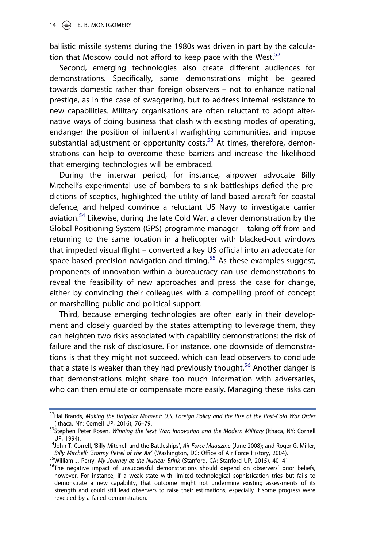ballistic missile systems during the 1980s was driven in part by the calculation that Moscow could not afford to keep pace with the West. $52$ 

Second, emerging technologies also create different audiences for demonstrations. Specifically, some demonstrations might be geared towards domestic rather than foreign observers – not to enhance national prestige, as in the case of swaggering, but to address internal resistance to new capabilities. Military organisations are often reluctant to adopt alternative ways of doing business that clash with existing modes of operating, endanger the position of influential warfighting communities, and impose substantial adjustment or opportunity costs. $53$  At times, therefore, demonstrations can help to overcome these barriers and increase the likelihood that emerging technologies will be embraced.

During the interwar period, for instance, airpower advocate Billy Mitchell's experimental use of bombers to sink battleships defied the predictions of sceptics, highlighted the utility of land-based aircraft for coastal defence, and helped convince a reluctant US Navy to investigate carrier aviation.<sup>54</sup> Likewise, during the late Cold War, a clever demonstration by the Global Positioning System (GPS) programme manager – taking off from and returning to the same location in a helicopter with blacked-out windows that impeded visual flight – converted a key US official into an advocate for space-based precision navigation and timing.<sup>55</sup> As these examples suggest, proponents of innovation within a bureaucracy can use demonstrations to reveal the feasibility of new approaches and press the case for change, either by convincing their colleagues with a compelling proof of concept or marshalling public and political support.

Third, because emerging technologies are often early in their development and closely guarded by the states attempting to leverage them, they can heighten two risks associated with capability demonstrations: the risk of failure and the risk of disclosure. For instance, one downside of demonstrations is that they might not succeed, which can lead observers to conclude that a state is weaker than they had previously thought.<sup>56</sup> Another danger is that demonstrations might share too much information with adversaries, who can then emulate or compensate more easily. Managing these risks can

<sup>52</sup>Hal Brands, *Making the Unipolar Moment: U.S. Foreign Policy and the Rise of the Post-Cold War Order* (Ithaca, NY: Cornell UP, 2016), 76–79.

<sup>53</sup>Stephen Peter Rosen, *Winning the Next War: Innovation and the Modern Military* (Ithaca, NY: Cornell UP, 1994).

<sup>54</sup>John T. Correll, 'Billy Mitchell and the Battleships', *Air Force Magazine* (June 2008); and Roger G. Miller, *Billy Mitchell:* '*Stormy Petrel of the Air*' (Washington, DC: Office of Air Force History, 2004).

<sup>55</sup>William J. Perry, *My Journey at the Nuclear Brink* (Stanford, CA: Stanford UP, 2015), 40–41.

<sup>&</sup>lt;sup>56</sup>The negative impact of unsuccessful demonstrations should depend on observers' prior beliefs, however. For instance, if a weak state with limited technological sophistication tries but fails to demonstrate a new capability, that outcome might not undermine existing assessments of its strength and could still lead observers to raise their estimations, especially if some progress were revealed by a failed demonstration.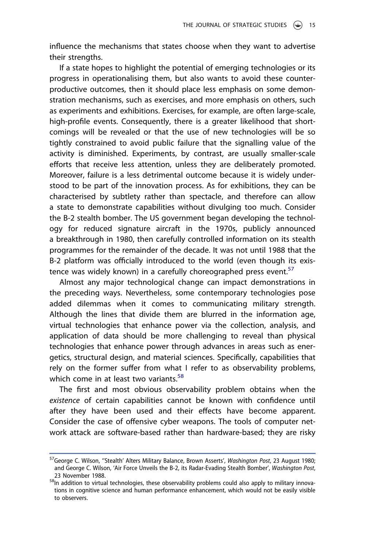influence the mechanisms that states choose when they want to advertise their strengths.

If a state hopes to highlight the potential of emerging technologies or its progress in operationalising them, but also wants to avoid these counterproductive outcomes, then it should place less emphasis on some demonstration mechanisms, such as exercises, and more emphasis on others, such as experiments and exhibitions. Exercises, for example, are often large-scale, high-profile events. Consequently, there is a greater likelihood that shortcomings will be revealed or that the use of new technologies will be so tightly constrained to avoid public failure that the signalling value of the activity is diminished. Experiments, by contrast, are usually smaller-scale efforts that receive less attention, unless they are deliberately promoted. Moreover, failure is a less detrimental outcome because it is widely understood to be part of the innovation process. As for exhibitions, they can be characterised by subtlety rather than spectacle, and therefore can allow a state to demonstrate capabilities without divulging too much. Consider the B-2 stealth bomber. The US government began developing the technology for reduced signature aircraft in the 1970s, publicly announced a breakthrough in 1980, then carefully controlled information on its stealth programmes for the remainder of the decade. It was not until 1988 that the B-2 platform was officially introduced to the world (even though its existence was widely known) in a carefully choreographed press event. $57$ 

Almost any major technological change can impact demonstrations in the preceding ways. Nevertheless, some contemporary technologies pose added dilemmas when it comes to communicating military strength. Although the lines that divide them are blurred in the information age, virtual technologies that enhance power via the collection, analysis, and application of data should be more challenging to reveal than physical technologies that enhance power through advances in areas such as energetics, structural design, and material sciences. Specifically, capabilities that rely on the former suffer from what I refer to as observability problems, which come in at least two variants.<sup>58</sup>

The first and most obvious observability problem obtains when the *existence* of certain capabilities cannot be known with confidence until after they have been used and their effects have become apparent. Consider the case of offensive cyber weapons. The tools of computer network attack are software-based rather than hardware-based; they are risky

<sup>57</sup>George C. Wilson, ''Stealth' Alters Military Balance, Brown Asserts', *Washington Post*, 23 August 1980; and George C. Wilson, 'Air Force Unveils the B-2, its Radar-Evading Stealth Bomber', *Washington Post*, 23 November 1988.

 $58$ In addition to virtual technologies, these observability problems could also apply to military innovations in cognitive science and human performance enhancement, which would not be easily visible to observers.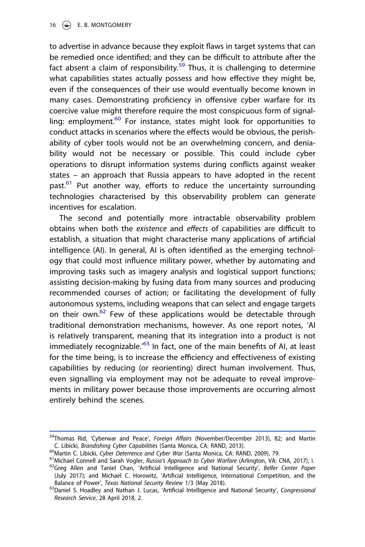#### 16  $\circledast$  E. B. MONTGOMERY

to advertise in advance because they exploit flaws in target systems that can be remedied once identified; and they can be difficult to attribute after the fact absent a claim of responsibility.<sup>59</sup> Thus, it is challenging to determine what capabilities states actually possess and how effective they might be, even if the consequences of their use would eventually become known in many cases. Demonstrating proficiency in offensive cyber warfare for its coercive value might therefore require the most conspicuous form of signalling: employment. $60$  For instance, states might look for opportunities to conduct attacks in scenarios where the effects would be obvious, the perishability of cyber tools would not be an overwhelming concern, and deniability would not be necessary or possible. This could include cyber operations to disrupt information systems during conflicts against weaker states – an approach that Russia appears to have adopted in the recent past.<sup>61</sup> Put another way, efforts to reduce the uncertainty surrounding technologies characterised by this observability problem can generate incentives for escalation.

The second and potentially more intractable observability problem obtains when both the *existence* and *e*ff*ects* of capabilities are difficult to establish, a situation that might characterise many applications of artificial intelligence (AI). In general, AI is often identified as the emerging technology that could most influence military power, whether by automating and improving tasks such as imagery analysis and logistical support functions; assisting decision-making by fusing data from many sources and producing recommended courses of action; or facilitating the development of fully autonomous systems, including weapons that can select and engage targets on their own.<sup>62</sup> Few of these applications would be detectable through traditional demonstration mechanisms, however. As one report notes, 'AI is relatively transparent, meaning that its integration into a product is not immediately recognizable.<sup>63</sup> In fact, one of the main benefits of AI, at least for the time being, is to increase the efficiency and effectiveness of existing capabilities by reducing (or reorienting) direct human involvement. Thus, even signalling via employment may not be adequate to reveal improvements in military power because those improvements are occurring almost entirely behind the scenes.

<sup>59</sup>Thomas Rid, 'Cyberwar and Peace', *Foreign A*ff*airs* (November/December 2013), 82; and Martin C. Libicki, *Brandishing Cyber Capabilities* (Santa Monica, CA: RAND, 2013).

<sup>60</sup>Martin C. Libicki, *Cyber Deterrence and Cyber War* (Santa Monica, CA: RAND, 2009), 79.

<sup>61</sup>Michael Connell and Sarah Vogler, *Russia*'*s Approach to Cyber Warfare* (Arlington, VA: CNA, 2017), i. <sup>62</sup>Greg Allen and Taniel Chan, 'Artificial Intelligence and National Security', *Belfer Center Paper*

<sup>(</sup>July 2017); and Michael C. Horowitz, 'Artificial Intelligence, International Competition, and the Balance of Power', *Texas National Security Review* 1/3 (May 2018).

<sup>63</sup>Daniel S. Hoadley and Nathan J. Lucas, 'Artificial Intelligence and National Security', *Congressional Research Service*, 28 April 2018, 2.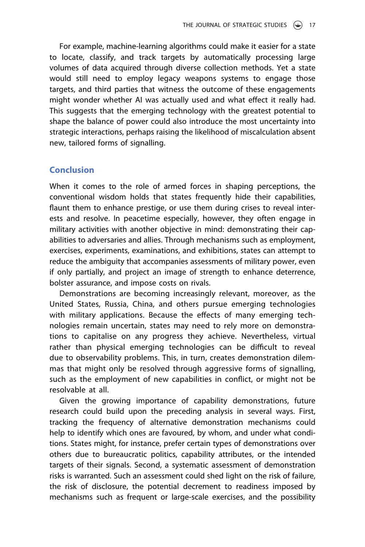For example, machine-learning algorithms could make it easier for a state to locate, classify, and track targets by automatically processing large volumes of data acquired through diverse collection methods. Yet a state would still need to employ legacy weapons systems to engage those targets, and third parties that witness the outcome of these engagements might wonder whether AI was actually used and what effect it really had. This suggests that the emerging technology with the greatest potential to shape the balance of power could also introduce the most uncertainty into strategic interactions, perhaps raising the likelihood of miscalculation absent new, tailored forms of signalling.

# Conclusion

When it comes to the role of armed forces in shaping perceptions, the conventional wisdom holds that states frequently hide their capabilities, flaunt them to enhance prestige, or use them during crises to reveal interests and resolve. In peacetime especially, however, they often engage in military activities with another objective in mind: demonstrating their capabilities to adversaries and allies. Through mechanisms such as employment, exercises, experiments, examinations, and exhibitions, states can attempt to reduce the ambiguity that accompanies assessments of military power, even if only partially, and project an image of strength to enhance deterrence, bolster assurance, and impose costs on rivals.

Demonstrations are becoming increasingly relevant, moreover, as the United States, Russia, China, and others pursue emerging technologies with military applications. Because the effects of many emerging technologies remain uncertain, states may need to rely more on demonstrations to capitalise on any progress they achieve. Nevertheless, virtual rather than physical emerging technologies can be difficult to reveal due to observability problems. This, in turn, creates demonstration dilemmas that might only be resolved through aggressive forms of signalling, such as the employment of new capabilities in conflict, or might not be resolvable at all.

Given the growing importance of capability demonstrations, future research could build upon the preceding analysis in several ways. First, tracking the frequency of alternative demonstration mechanisms could help to identify which ones are favoured, by whom, and under what conditions. States might, for instance, prefer certain types of demonstrations over others due to bureaucratic politics, capability attributes, or the intended targets of their signals. Second, a systematic assessment of demonstration risks is warranted. Such an assessment could shed light on the risk of failure, the risk of disclosure, the potential decrement to readiness imposed by mechanisms such as frequent or large-scale exercises, and the possibility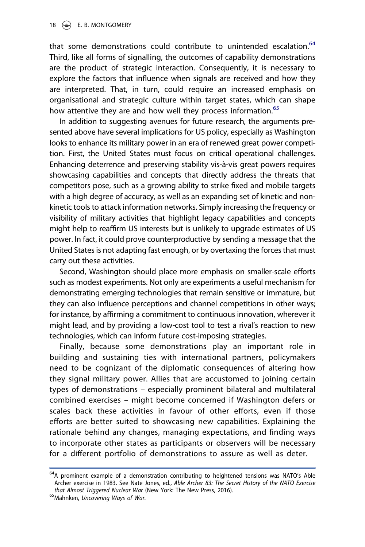that some demonstrations could contribute to unintended escalation.  $64$ Third, like all forms of signalling, the outcomes of capability demonstrations are the product of strategic interaction. Consequently, it is necessary to explore the factors that influence when signals are received and how they are interpreted. That, in turn, could require an increased emphasis on organisational and strategic culture within target states, which can shape how attentive they are and how well they process information.<sup>65</sup>

In addition to suggesting avenues for future research, the arguments presented above have several implications for US policy, especially as Washington looks to enhance its military power in an era of renewed great power competition. First, the United States must focus on critical operational challenges. Enhancing deterrence and preserving stability vis-à-vis great powers requires showcasing capabilities and concepts that directly address the threats that competitors pose, such as a growing ability to strike fixed and mobile targets with a high degree of accuracy, as well as an expanding set of kinetic and nonkinetic tools to attack information networks. Simply increasing the frequency or visibility of military activities that highlight legacy capabilities and concepts might help to reaffirm US interests but is unlikely to upgrade estimates of US power. In fact, it could prove counterproductive by sending a message that the United States is not adapting fast enough, or by overtaxing the forces that must carry out these activities.

Second, Washington should place more emphasis on smaller-scale efforts such as modest experiments. Not only are experiments a useful mechanism for demonstrating emerging technologies that remain sensitive or immature, but they can also influence perceptions and channel competitions in other ways; for instance, by affirming a commitment to continuous innovation, wherever it might lead, and by providing a low-cost tool to test a rival's reaction to new technologies, which can inform future cost-imposing strategies.

Finally, because some demonstrations play an important role in building and sustaining ties with international partners, policymakers need to be cognizant of the diplomatic consequences of altering how they signal military power. Allies that are accustomed to joining certain types of demonstrations – especially prominent bilateral and multilateral combined exercises – might become concerned if Washington defers or scales back these activities in favour of other efforts, even if those efforts are better suited to showcasing new capabilities. Explaining the rationale behind any changes, managing expectations, and finding ways to incorporate other states as participants or observers will be necessary for a different portfolio of demonstrations to assure as well as deter.

<sup>&</sup>lt;sup>64</sup>A prominent example of a demonstration contributing to heightened tensions was NATO's Able Archer exercise in 1983. See Nate Jones, ed., *Able Archer 83: The Secret History of the NATO Exercise that Almost Triggered Nuclear War* (New York: The New Press, 2016).

<sup>65</sup>Mahnken, *Uncovering Ways of War.*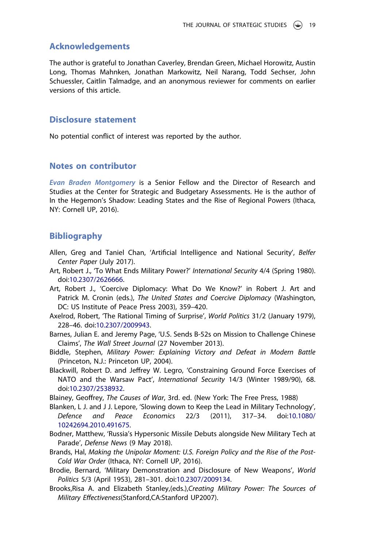#### Acknowledgements

The author is grateful to Jonathan Caverley, Brendan Green, Michael Horowitz, Austin Long, Thomas Mahnken, Jonathan Markowitz, Neil Narang, Todd Sechser, John Schuessler, Caitlin Talmadge, and an anonymous reviewer for comments on earlier versions of this article.

# Disclosure statement

No potential conflict of interest was reported by the author.

## Notes on contributor

Evan Braden Montgomery is a Senior Fellow and the Director of Research and Studies at the Center for Strategic and Budgetary Assessments. He is the author of In the Hegemon's Shadow: Leading States and the Rise of Regional Powers (Ithaca, NY: Cornell UP, 2016).

# Bibliography

- Allen, Greg and Taniel Chan, 'Artificial Intelligence and National Security', *Belfer Center Paper* (July 2017).
- Art, Robert J., 'To What Ends Military Power?' *International Security* 4/4 (Spring 1980). doi:10.2307/2626666.
- Art, Robert J., 'Coercive Diplomacy: What Do We Know?' in Robert J. Art and Patrick M. Cronin (eds.), *The United States and Coercive Diplomacy* (Washington, DC: US Institute of Peace Press 2003), 359–420.
- Axelrod, Robert, 'The Rational Timing of Surprise', *World Politics* 31/2 (January 1979), 228–46. doi:10.2307/2009943.
- Barnes, Julian E. and Jeremy Page, 'U.S. Sends B-52s on Mission to Challenge Chinese Claims', *The Wall Street Journal* (27 November 2013).
- Biddle, Stephen, *Military Power: Explaining Victory and Defeat in Modern Battle* (Princeton, N.J.: Princeton UP, 2004).
- Blackwill, Robert D. and Jeffrey W. Legro, 'Constraining Ground Force Exercises of NATO and the Warsaw Pact', *International Security* 14/3 (Winter 1989/90), 68. doi:10.2307/2538932.
- Blainey, Geoffrey, *The Causes of War*, 3rd. ed. (New York: The Free Press, 1988)
- Blanken, L J. and J J. Lepore, 'Slowing down to Keep the Lead in Military Technology', *Defence and Peace Economics* 22/3 (2011), 317–34. doi:10.1080/ 10242694.2010.491675.
- Bodner, Matthew, 'Russia's Hypersonic Missile Debuts alongside New Military Tech at Parade', *Defense News* (9 May 2018).
- Brands, Hal, *Making the Unipolar Moment: U.S. Foreign Policy and the Rise of the Post-Cold War Order* (Ithaca, NY: Cornell UP, 2016).
- Brodie, Bernard, 'Military Demonstration and Disclosure of New Weapons', *World Politics* 5/3 (April 1953), 281–301. doi:10.2307/2009134.
- Brooks,Risa A. and Elizabeth Stanley,(eds.),*Creating Military Power: The Sources of Military E*ff*ectiveness*(Stanford,CA:Stanford UP2007).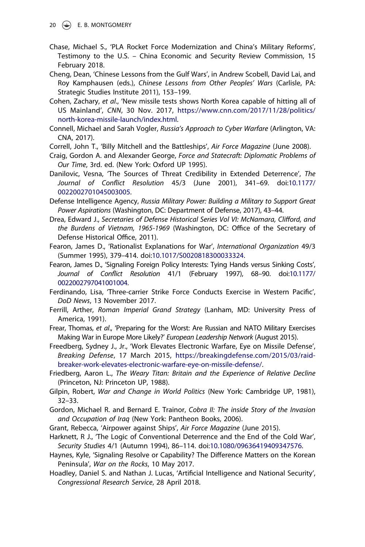20  $\left(\bigstar\right)$  E. B. MONTGOMERY

- Chase, Michael S., 'PLA Rocket Force Modernization and China's Military Reforms', Testimony to the U.S. – China Economic and Security Review Commission, 15 February 2018.
- Cheng, Dean, 'Chinese Lessons from the Gulf Wars', in Andrew Scobell, David Lai, and Roy Kamphausen (eds.), *Chinese Lessons from Other Peoples*' *Wars* (Carlisle, PA: Strategic Studies Institute 2011), 153–199.
- Cohen, Zachary, *et al*., 'New missile tests shows North Korea capable of hitting all of US Mainland', *CNN*, 30 Nov. 2017, https://www.cnn.com/2017/11/28/politics/ north-korea-missile-launch/index.html.
- Connell, Michael and Sarah Vogler, *Russia*'*s Approach to Cyber Warfare* (Arlington, VA: CNA, 2017).
- Correll, John T., 'Billy Mitchell and the Battleships', *Air Force Magazine* (June 2008).
- Craig, Gordon A. and Alexander George, *Force and Statecraft: Diplomatic Problems of Our Time*, 3rd. ed. (New York: Oxford UP 1995).
- Danilovic, Vesna, 'The Sources of Threat Credibility in Extended Deterrence', *The Journal of Con*fl*ict Resolution* 45/3 (June 2001), 341–69. doi:10.1177/ 0022002701045003005.
- Defense Intelligence Agency, *Russia Military Power: Building a Military to Support Great Power Aspirations* (Washington, DC: Department of Defense, 2017), 43–44.
- Drea, Edward J., *Secretaries of Defense Historical Series Vol VI: McNamara, Cli*ff*ord, and the Burdens of Vietnam, 1965-1969* (Washington, DC: Office of the Secretary of Defense Historical Office, 2011).
- Fearon, James D., 'Rationalist Explanations for War', *International Organization* 49/3 (Summer 1995), 379–414. doi:10.1017/S0020818300033324.
- Fearon, James D., 'Signaling Foreign Policy Interests: Tying Hands versus Sinking Costs', *Journal of Con*fl*ict Resolution* 41/1 (February 1997), 68–90. doi:10.1177/ 0022002797041001004.
- Ferdinando, Lisa, 'Three-carrier Strike Force Conducts Exercise in Western Pacific', *DoD News*, 13 November 2017.
- Ferrill, Arther, *Roman Imperial Grand Strategy* (Lanham, MD: University Press of America, 1991).
- Frear, Thomas, *et al*., 'Preparing for the Worst: Are Russian and NATO Military Exercises Making War in Europe More Likely?' *European Leadership Network* (August 2015).
- Freedberg, Sydney J., Jr., 'Work Elevates Electronic Warfare, Eye on Missile Defense', *Breaking Defense*, 17 March 2015, https://breakingdefense.com/2015/03/raidbreaker-work-elevates-electronic-warfare-eye-on-missile-defense/.
- Friedberg, Aaron L., *The Weary Titan: Britain and the Experience of Relative Decline* (Princeton, NJ: Princeton UP, 1988).
- Gilpin, Robert, *War and Change in World Politics* (New York: Cambridge UP, 1981), 32–33.

Gordon, Michael R. and Bernard E. Trainor, *Cobra II: The inside Story of the Invasion and Occupation of Iraq* (New York: Pantheon Books, 2006).

- Grant, Rebecca, 'Airpower against Ships', *Air Force Magazine* (June 2015).
- Harknett, R J., 'The Logic of Conventional Deterrence and the End of the Cold War', *Security Studies* 4/1 (Autumn 1994), 86–114. doi:10.1080/09636419409347576.
- Haynes, Kyle, 'Signaling Resolve or Capability? The Difference Matters on the Korean Peninsula', *War on the Rocks*, 10 May 2017.
- Hoadley, Daniel S. and Nathan J. Lucas, 'Artificial Intelligence and National Security', *Congressional Research Service*, 28 April 2018.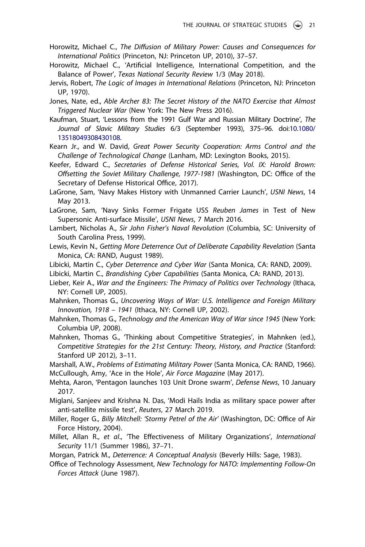- Horowitz, Michael C., *The Di*ff*usion of Military Power: Causes and Consequences for International Politics* (Princeton, NJ: Princeton UP, 2010), 37–57.
- Horowitz, Michael C., 'Artificial Intelligence, International Competition, and the Balance of Power', *Texas National Security Review* 1/3 (May 2018).
- Jervis, Robert, *The Logic of Images in International Relations* (Princeton, NJ: Princeton UP, 1970).
- Jones, Nate, ed., *Able Archer 83: The Secret History of the NATO Exercise that Almost Triggered Nuclear War* (New York: The New Press 2016).
- Kaufman, Stuart, 'Lessons from the 1991 Gulf War and Russian Military Doctrine', *The Journal of Slavic Military Studies* 6/3 (September 1993), 375–96. doi:10.1080/ 13518049308430108.
- Kearn Jr., and W. David, *Great Power Security Cooperation: Arms Control and the Challenge of Technological Change* (Lanham, MD: Lexington Books, 2015).
- Keefer, Edward C., *Secretaries of Defense Historical Series, Vol. IX: Harold Brown: O*ff*setting the Soviet Military Challenge, 1977-1981* (Washington, DC: Office of the Secretary of Defense Historical Office, 2017).
- LaGrone, Sam, 'Navy Makes History with Unmanned Carrier Launch', *USNI News*, 14 May 2013.
- LaGrone, Sam, 'Navy Sinks Former Frigate USS *Reuben James* in Test of New Supersonic Anti-surface Missile', *USNI News*, 7 March 2016.
- Lambert, Nicholas A., *Sir John Fisher*'*s Naval Revolution* (Columbia, SC: University of South Carolina Press, 1999).
- Lewis, Kevin N., *Getting More Deterrence Out of Deliberate Capability Revelation* (Santa Monica, CA: RAND, August 1989).
- Libicki, Martin C., *Cyber Deterrence and Cyber War* (Santa Monica, CA: RAND, 2009).
- Libicki, Martin C., *Brandishing Cyber Capabilities* (Santa Monica, CA: RAND, 2013).
- Lieber, Keir A., *War and the Engineers: The Primacy of Politics over Technology* (Ithaca, NY: Cornell UP, 2005).
- Mahnken, Thomas G., *Uncovering Ways of War: U.S. Intelligence and Foreign Military Innovation, 1918* – *1941* (Ithaca, NY: Cornell UP, 2002).
- Mahnken, Thomas G., *Technology and the American Way of War since 1945* (New York: Columbia UP, 2008).
- Mahnken, Thomas G., 'Thinking about Competitive Strategies', in Mahnken (ed.), *Competitive Strategies for the 21st Century: Theory, History, and Practice* (Stanford: Stanford UP 2012), 3–11.
- Marshall, A.W., *Problems of Estimating Military Power* (Santa Monica, CA: RAND, 1966). McCullough, Amy, 'Ace in the Hole', *Air Force Magazine* (May 2017).
- Mehta, Aaron, 'Pentagon launches 103 Unit Drone swarm', *Defense News*, 10 January 2017.
- Miglani, Sanjeev and Krishna N. Das, 'Modi Hails India as military space power after anti-satellite missile test', *Reuters*, 27 March 2019.
- Miller, Roger G., *Billy Mitchell:* '*Stormy Petrel of the Air*' (Washington, DC: Office of Air Force History, 2004).
- Millet, Allan R., *et al*., 'The Effectiveness of Military Organizations', *International Security* 11/1 (Summer 1986), 37–71.
- Morgan, Patrick M., *Deterrence: A Conceptual Analysis* (Beverly Hills: Sage, 1983).
- Office of Technology Assessment, *New Technology for NATO: Implementing Follow-On Forces Attack* (June 1987).